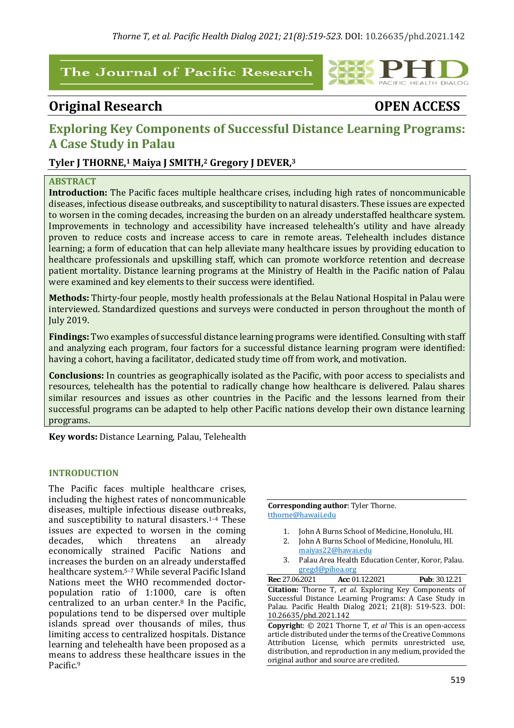# The Journal of Pacific Research

# **Original Research OPEN ACCESS**

PACIFIC HEALTH DIALOG

# **Exploring Key Components of Successful Distance Learning Programs: A Case Study in Palau**

# **Tyler J THORNE,1 Maiya J SMITH,2 Gregory J DEVER,3**

## **ABSTRACT**

**Introduction:** The Pacific faces multiple healthcare crises, including high rates of noncommunicable diseases, infectious disease outbreaks, and susceptibility to natural disasters. These issues are expected to worsen in the coming decades, increasing the burden on an already understaffed healthcare system. Improvements in technology and accessibility have increased telehealth's utility and have already proven to reduce costs and increase access to care in remote areas. Telehealth includes distance learning; a form of education that can help alleviate many healthcare issues by providing education to healthcare professionals and upskilling staff, which can promote workforce retention and decrease patient mortality. Distance learning programs at the Ministry of Health in the Pacific nation of Palau were examined and key elements to their success were identified.

**Methods:** Thirty-four people, mostly health professionals at the Belau National Hospital in Palau were interviewed. Standardized questions and surveys were conducted in person throughout the month of July 2019. 

**Findings:** Two examples of successful distance learning programs were identified. Consulting with staff and analyzing each program, four factors for a successful distance learning program were identified: having a cohort, having a facilitator, dedicated study time off from work, and motivation.

**Conclusions:** In countries as geographically isolated as the Pacific, with poor access to specialists and resources, telehealth has the potential to radically change how healthcare is delivered. Palau shares similar resources and issues as other countries in the Pacific and the lessons learned from their successful programs can be adapted to help other Pacific nations develop their own distance learning programs. 

**Key words:** Distance Learning, Palau, Telehealth

# **INTRODUCTION**

The Pacific faces multiple healthcare crises, including the highest rates of noncommunicable diseases, multiple infectious disease outbreaks, and susceptibility to natural disasters.<sup>1-4</sup> These issues are expected to worsen in the coming decades, which threatens an already economically strained Pacific Nations and increases the burden on an already understaffed healthcare system.<sup>5-7</sup> While several Pacific Island Nations meet the WHO recommended doctorpopulation ratio of 1:1000, care is often centralized to an urban center. $8$  In the Pacific, populations tend to be dispersed over multiple islands spread over thousands of miles, thus limiting access to centralized hospitals. Distance learning and telehealth have been proposed as a means to address these healthcare issues in the Pacific.9

**Corresponding author:** Tyler Thorne. tthorne@hawaii.edu

- 1. John A Burns School of Medicine, Honolulu, HI.
- 2. John A Burns School of Medicine, Honolulu, HI. maiyas22@hawai.edu
- 3. Palau Area Health Education Center, Koror, Palau. gregd@pihoa.org

| <b>Rec:</b> 27.06.2021 | Acc: 01.12.2021                                                 | <b>Pub: 30.12.21</b>                                          |
|------------------------|-----------------------------------------------------------------|---------------------------------------------------------------|
|                        |                                                                 | <b>Citation:</b> Thorne T, et al. Exploring Key Components of |
|                        | Successful Distance Learning Programs: A Case Study in          |                                                               |
|                        | Palau. Pacific Health Dialog 2021; 21(8): 519-523. DOI:         |                                                               |
| 10.26635/phd.2021.142  |                                                                 |                                                               |
|                        | <b>Copyright:</b> © 2021 Thorne T, et al This is an open-access |                                                               |
|                        | article distributed under the terms of the Creative Commons     |                                                               |

article distributed under the terms of the Creative Commons Attribution License, which permits unrestricted use, distribution, and reproduction in any medium, provided the original author and source are credited.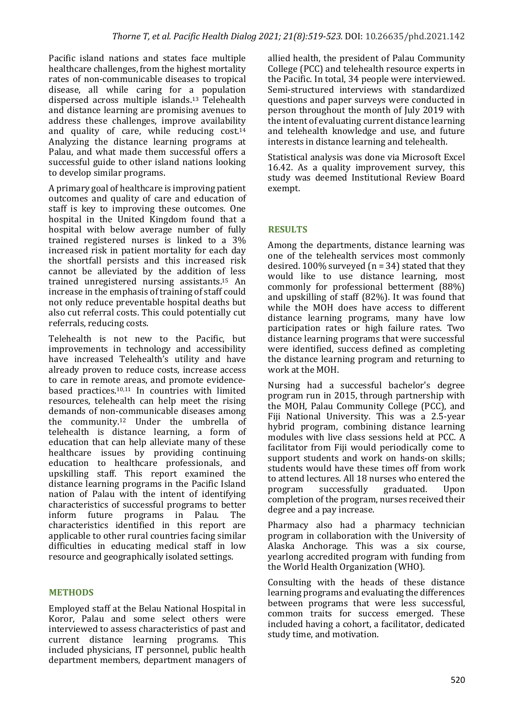Pacific island nations and states face multiple healthcare challenges, from the highest mortality rates of non-communicable diseases to tropical disease, all while caring for a population dispersed across multiple islands.<sup>13</sup> Telehealth and distance learning are promising avenues to address these challenges, improve availability and quality of care, while reducing cost.<sup>14</sup> Analyzing the distance learning programs at Palau, and what made them successful offers a successful guide to other island nations looking to develop similar programs.

A primary goal of healthcare is improving patient outcomes and quality of care and education of staff is key to improving these outcomes. One hospital in the United Kingdom found that a hospital with below average number of fully trained registered nurses is linked to a 3% increased risk in patient mortality for each day the shortfall persists and this increased risk cannot be alleviated by the addition of less trained unregistered nursing assistants.15 An increase in the emphasis of training of staff could not only reduce preventable hospital deaths but also cut referral costs. This could potentially cut referrals, reducing costs.

Telehealth is not new to the Pacific, but improvements in technology and accessibility have increased Telehealth's utility and have already proven to reduce costs, increase access to care in remote areas, and promote evidencebased practices.<sup>10,11</sup> In countries with limited resources, telehealth can help meet the rising demands of non-communicable diseases among the community.<sup>12</sup> Under the umbrella of telehealth is distance learning, a form of education that can help alleviate many of these healthcare issues by providing continuing education to healthcare professionals, and upskilling staff. This report examined the distance learning programs in the Pacific Island nation of Palau with the intent of identifying characteristics of successful programs to better inform future programs in Palau. The characteristics identified in this report are applicable to other rural countries facing similar difficulties in educating medical staff in low resource and geographically isolated settings.

#### **METHODS**

Employed staff at the Belau National Hospital in Koror, Palau and some select others were interviewed to assess characteristics of past and current distance learning programs. This included physicians, IT personnel, public health department members, department managers of allied health, the president of Palau Community College (PCC) and telehealth resource experts in the Pacific. In total, 34 people were interviewed. Semi-structured interviews with standardized questions and paper surveys were conducted in person throughout the month of July 2019 with the intent of evaluating current distance learning and telehealth knowledge and use, and future interests in distance learning and telehealth.

Statistical analysis was done via Microsoft Excel 16.42. As a quality improvement survey, this study was deemed Institutional Review Board exempt. 

# **RESULTS**

Among the departments, distance learning was one of the telehealth services most commonly desired.  $100\%$  surveyed (n = 34) stated that they would like to use distance learning, most commonly for professional betterment (88%) and upskilling of staff  $(82%)$ . It was found that while the MOH does have access to different distance learning programs, many have low participation rates or high failure rates. Two distance learning programs that were successful were identified, success defined as completing the distance learning program and returning to work at the MOH.

Nursing had a successful bachelor's degree program run in 2015, through partnership with the MOH, Palau Community College (PCC), and Fiji National University. This was a 2.5-year hybrid program, combining distance learning modules with live class sessions held at PCC. A facilitator from Fiji would periodically come to support students and work on hands-on skills: students would have these times off from work to attend lectures. All 18 nurses who entered the program successfully graduated. Upon completion of the program, nurses received their degree and a pay increase.

Pharmacy also had a pharmacy technician program in collaboration with the University of Alaska Anchorage. This was a six course, vearlong accredited program with funding from the World Health Organization (WHO).

Consulting with the heads of these distance learning programs and evaluating the differences between programs that were less successful. common traits for success emerged. These included having a cohort, a facilitator, dedicated study time, and motivation.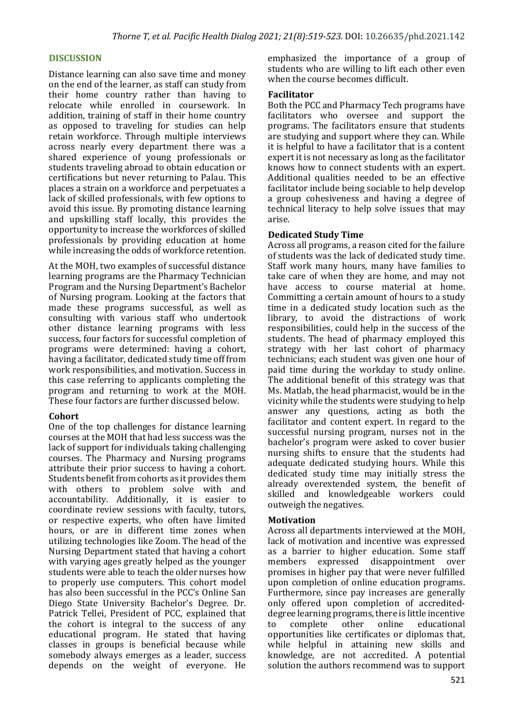#### **DISCUSSION**

Distance learning can also save time and money on the end of the learner, as staff can study from their home country rather than having to relocate while enrolled in coursework. In addition, training of staff in their home country as opposed to traveling for studies can help retain workforce. Through multiple interviews across nearly every department there was a shared experience of young professionals or students traveling abroad to obtain education or certifications but never returning to Palau. This places a strain on a workforce and perpetuates a lack of skilled professionals, with few options to avoid this issue. By promoting distance learning and upskilling staff locally, this provides the opportunity to increase the workforces of skilled professionals by providing education at home while increasing the odds of workforce retention.

At the MOH, two examples of successful distance learning programs are the Pharmacy Technician Program and the Nursing Department's Bachelor of Nursing program. Looking at the factors that made these programs successful, as well as consulting with various staff who undertook other distance learning programs with less success, four factors for successful completion of programs were determined: having a cohort, having a facilitator, dedicated study time off from work responsibilities, and motivation. Success in this case referring to applicants completing the program and returning to work at the MOH. These four factors are further discussed below.

#### **Cohort**

One of the top challenges for distance learning courses at the MOH that had less success was the lack of support for individuals taking challenging courses. The Pharmacy and Nursing programs attribute their prior success to having a cohort. Students benefit from cohorts as it provides them with others to problem solve with and accountability. Additionally, it is easier to coordinate review sessions with faculty, tutors, or respective experts, who often have limited hours, or are in different time zones when utilizing technologies like Zoom. The head of the Nursing Department stated that having a cohort with varying ages greatly helped as the younger students were able to teach the older nurses how to properly use computers. This cohort model has also been successful in the PCC's Online San Diego State University Bachelor's Degree. Dr. Patrick Tellei, President of PCC, explained that the cohort is integral to the success of any educational program. He stated that having classes in groups is beneficial because while somebody always emerges as a leader, success depends on the weight of everyone. He

emphasized the importance of a group of students who are willing to lift each other even when the course becomes difficult.

#### **Facilitator**

Both the PCC and Pharmacy Tech programs have facilitators who oversee and support the programs. The facilitators ensure that students are studying and support where they can. While it is helpful to have a facilitator that is a content expert it is not necessary as long as the facilitator knows how to connect students with an expert. Additional qualities needed to be an effective facilitator include being sociable to help develop a group cohesiveness and having a degree of technical literacy to help solve issues that may arise. 

#### **Dedicated Study Time**

Across all programs, a reason cited for the failure of students was the lack of dedicated study time. Staff work many hours, many have families to take care of when they are home, and may not have access to course material at home. Committing a certain amount of hours to a study time in a dedicated study location such as the library, to avoid the distractions of work responsibilities, could help in the success of the students. The head of pharmacy employed this strategy with her last cohort of pharmacy technicians; each student was given one hour of paid time during the workday to study online. The additional benefit of this strategy was that Ms. Matlab, the head pharmacist, would be in the vicinity while the students were studying to help answer any questions, acting as both the facilitator and content expert. In regard to the successful nursing program, nurses not in the bachelor's program were asked to cover busier nursing shifts to ensure that the students had adequate dedicated studying hours. While this dedicated study time may initially stress the already overextended system, the benefit of skilled and knowledgeable workers could outweigh the negatives.

#### **Motivation**

Across all departments interviewed at the MOH, lack of motivation and incentive was expressed as a barrier to higher education. Some staff members expressed disappointment over promises in higher pay that were never fulfilled upon completion of online education programs. Furthermore, since pay increases are generally only offered upon completion of accrediteddegree learning programs, there is little incentive to complete other online educational opportunities like certificates or diplomas that, while helpful in attaining new skills and knowledge, are not accredited. A potential solution the authors recommend was to support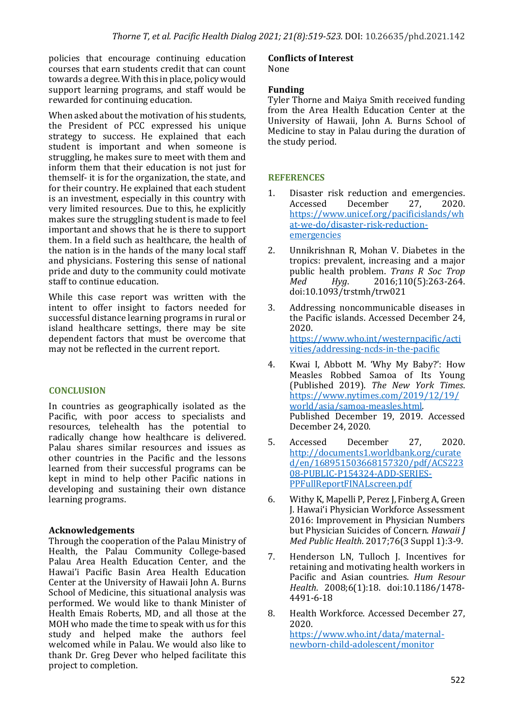policies that encourage continuing education courses that earn students credit that can count towards a degree. With this in place, policy would support learning programs, and staff would be rewarded for continuing education.

When asked about the motivation of his students, the President of PCC expressed his unique strategy to success. He explained that each student is important and when someone is struggling, he makes sure to meet with them and inform them that their education is not just for themself- it is for the organization, the state, and for their country. He explained that each student is an investment, especially in this country with very limited resources. Due to this, he explicitly makes sure the struggling student is made to feel important and shows that he is there to support them. In a field such as healthcare, the health of the nation is in the hands of the many local staff and physicians. Fostering this sense of national pride and duty to the community could motivate staff to continue education.

While this case report was written with the intent to offer insight to factors needed for successful distance learning programs in rural or island healthcare settings, there may be site dependent factors that must be overcome that may not be reflected in the current report.

# **CONCLUSION**

In countries as geographically isolated as the Pacific, with poor access to specialists and resources, telehealth has the potential to radically change how healthcare is delivered. Palau shares similar resources and issues as other countries in the Pacific and the lessons learned from their successful programs can be kept in mind to help other Pacific nations in developing and sustaining their own distance learning programs.

# **Acknowledgements**

Through the cooperation of the Palau Ministry of Health, the Palau Community College-based Palau Area Health Education Center, and the Hawai'i Pacific Basin Area Health Education Center at the University of Hawaii John A. Burns School of Medicine, this situational analysis was performed. We would like to thank Minister of Health Emais Roberts, MD, and all those at the MOH who made the time to speak with us for this study and helped make the authors feel welcomed while in Palau. We would also like to thank Dr. Greg Dever who helped facilitate this project to completion.

# **Conflicts of Interest**

None

## **Funding**

Tyler Thorne and Maiya Smith received funding from the Area Health Education Center at the University of Hawaii, John A. Burns School of Medicine to stay in Palau during the duration of the study period.

## **REFERENCES**

- 1. Disaster risk reduction and emergencies. Accessed December 27, 2020. https://www.unicef.org/pacificislands/wh at-we-do/disaster-risk-reductionemergencies
- 2. Unnikrishnan R, Mohan V. Diabetes in the tropics: prevalent, increasing and a major public health problem. *Trans R Soc Trop Med Hyg*. 2016;110(5):263-264. doi:10.1093/trstmh/trw021
- 3. Addressing noncommunicable diseases in the Pacific islands. Accessed December 24, 2020. https://www.who.int/westernpacific/acti vities/addressing-ncds-in-the-pacific
- 4. Kwai I, Abbott M. 'Why My Baby?': How Measles Robbed Samoa of Its Young (Published 2019). *The New York Times*. https://www.nytimes.com/2019/12/19/ world/asia/samoa-measles.html. Published December 19, 2019. Accessed December 24, 2020.
- 5. Accessed December 27, 2020. http://documents1.worldbank.org/curate d/en/168951503668157320/pdf/ACS223 08-PUBLIC-P154324-ADD-SERIES-PPFullReportFINALscreen.pdf
- 6. Withy K, Mapelli P, Perez J, Finberg A, Green J. Hawai'i Physician Workforce Assessment 2016: Improvement in Physician Numbers but Physician Suicides of Concern. *Hawaii I Med Public Health.* 2017:76(3 Suppl 1):3-9.
- 7. Henderson LN, Tulloch J. Incentives for retaining and motivating health workers in Pacific and Asian countries. *Hum Resour Health*. 2008;6(1):18. doi:10.1186/1478- 4491-6-18
- 8. Health Workforce. Accessed December 27. 2020. https://www.who.int/data/maternalnewborn-child-adolescent/monitor